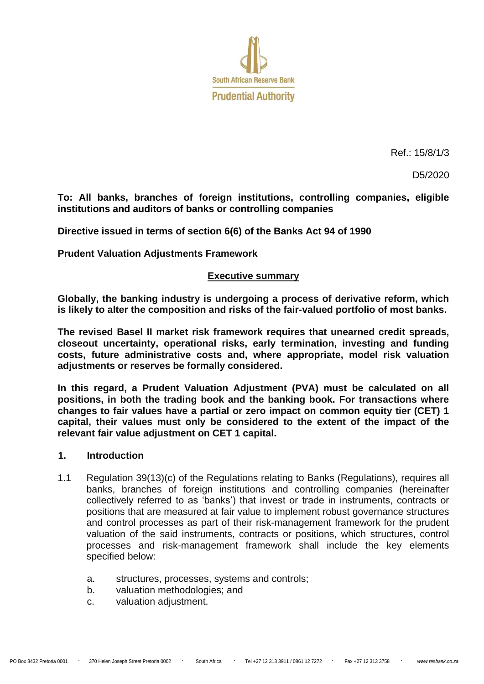

Ref.: 15/8/1/3

D5/2020

**To: All banks, branches of foreign institutions, controlling companies, eligible institutions and auditors of banks or controlling companies**

**Directive issued in terms of section 6(6) of the Banks Act 94 of 1990**

**Prudent Valuation Adjustments Framework**

#### **Executive summary**

**Globally, the banking industry is undergoing a process of derivative reform, which is likely to alter the composition and risks of the fair-valued portfolio of most banks.**

**The revised Basel II market risk framework requires that unearned credit spreads, closeout uncertainty, operational risks, early termination, investing and funding costs, future administrative costs and, where appropriate, model risk valuation adjustments or reserves be formally considered.**

**In this regard, a Prudent Valuation Adjustment (PVA) must be calculated on all positions, in both the trading book and the banking book. For transactions where changes to fair values have a partial or zero impact on common equity tier (CET) 1 capital, their values must only be considered to the extent of the impact of the relevant fair value adjustment on CET 1 capital.** 

#### **1. Introduction**

- 1.1 Regulation 39(13)(c) of the Regulations relating to Banks (Regulations), requires all banks, branches of foreign institutions and controlling companies (hereinafter collectively referred to as 'banks') that invest or trade in instruments, contracts or positions that are measured at fair value to implement robust governance structures and control processes as part of their risk-management framework for the prudent valuation of the said instruments, contracts or positions, which structures, control processes and risk-management framework shall include the key elements specified below:
	- a. structures, processes, systems and controls;
	- b. valuation methodologies; and
	- c. valuation adjustment.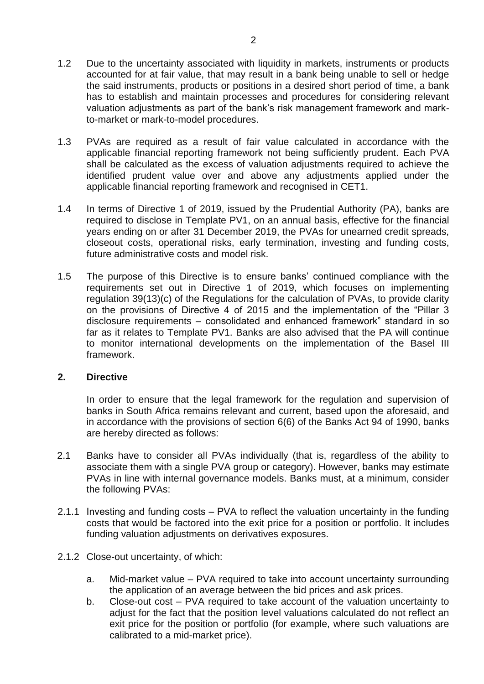- 1.2 Due to the uncertainty associated with liquidity in markets, instruments or products accounted for at fair value, that may result in a bank being unable to sell or hedge the said instruments, products or positions in a desired short period of time, a bank has to establish and maintain processes and procedures for considering relevant valuation adjustments as part of the bank's risk management framework and markto-market or mark-to-model procedures.
- 1.3 PVAs are required as a result of fair value calculated in accordance with the applicable financial reporting framework not being sufficiently prudent. Each PVA shall be calculated as the excess of valuation adjustments required to achieve the identified prudent value over and above any adjustments applied under the applicable financial reporting framework and recognised in CET1.
- 1.4 In terms of Directive 1 of 2019, issued by the Prudential Authority (PA), banks are required to disclose in Template PV1, on an annual basis, effective for the financial years ending on or after 31 December 2019, the PVAs for unearned credit spreads, closeout costs, operational risks, early termination, investing and funding costs, future administrative costs and model risk.
- 1.5 The purpose of this Directive is to ensure banks' continued compliance with the requirements set out in Directive 1 of 2019, which focuses on implementing regulation 39(13)(c) of the Regulations for the calculation of PVAs, to provide clarity on the provisions of Directive 4 of 2015 and the implementation of the "Pillar 3 disclosure requirements – consolidated and enhanced framework" standard in so far as it relates to Template PV1. Banks are also advised that the PA will continue to monitor international developments on the implementation of the Basel III framework.

#### **2. Directive**

In order to ensure that the legal framework for the regulation and supervision of banks in South Africa remains relevant and current, based upon the aforesaid, and in accordance with the provisions of section 6(6) of the Banks Act 94 of 1990, banks are hereby directed as follows:

- 2.1 Banks have to consider all PVAs individually (that is, regardless of the ability to associate them with a single PVA group or category). However, banks may estimate PVAs in line with internal governance models. Banks must, at a minimum, consider the following PVAs:
- 2.1.1 Investing and funding costs PVA to reflect the valuation uncertainty in the funding costs that would be factored into the exit price for a position or portfolio. It includes funding valuation adjustments on derivatives exposures.
- 2.1.2 Close-out uncertainty, of which:
	- a. Mid-market value PVA required to take into account uncertainty surrounding the application of an average between the bid prices and ask prices.
	- b. Close-out cost PVA required to take account of the valuation uncertainty to adjust for the fact that the position level valuations calculated do not reflect an exit price for the position or portfolio (for example, where such valuations are calibrated to a mid-market price).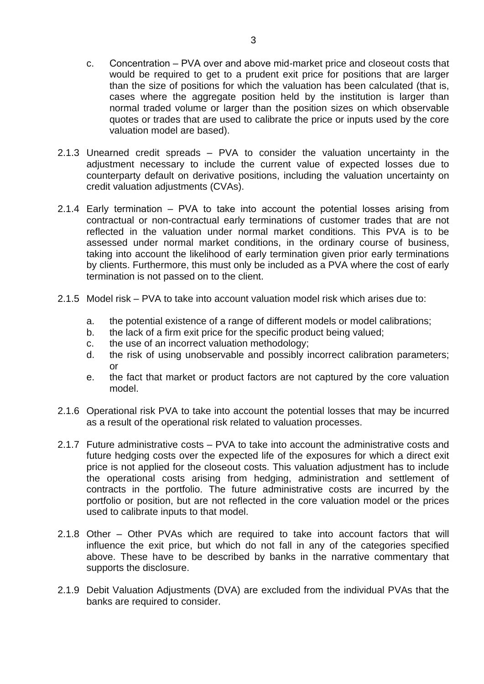- c. Concentration ‒ PVA over and above mid-market price and closeout costs that would be required to get to a prudent exit price for positions that are larger than the size of positions for which the valuation has been calculated (that is, cases where the aggregate position held by the institution is larger than normal traded volume or larger than the position sizes on which observable quotes or trades that are used to calibrate the price or inputs used by the core valuation model are based).
- 2.1.3 Unearned credit spreads PVA to consider the valuation uncertainty in the adjustment necessary to include the current value of expected losses due to counterparty default on derivative positions, including the valuation uncertainty on credit valuation adjustments (CVAs).
- 2.1.4 Early termination  $-$  PVA to take into account the potential losses arising from contractual or non-contractual early terminations of customer trades that are not reflected in the valuation under normal market conditions. This PVA is to be assessed under normal market conditions, in the ordinary course of business, taking into account the likelihood of early termination given prior early terminations by clients. Furthermore, this must only be included as a PVA where the cost of early termination is not passed on to the client.
- $2.1.5$  Model risk  $-$  PVA to take into account valuation model risk which arises due to:
	- a. the potential existence of a range of different models or model calibrations;
	- b. the lack of a firm exit price for the specific product being valued;
	- c. the use of an incorrect valuation methodology;
	- d. the risk of using unobservable and possibly incorrect calibration parameters; or
	- e. the fact that market or product factors are not captured by the core valuation model.
- 2.1.6 Operational risk PVA to take into account the potential losses that may be incurred as a result of the operational risk related to valuation processes.
- 2.1.7 Future administrative costs PVA to take into account the administrative costs and future hedging costs over the expected life of the exposures for which a direct exit price is not applied for the closeout costs. This valuation adjustment has to include the operational costs arising from hedging, administration and settlement of contracts in the portfolio. The future administrative costs are incurred by the portfolio or position, but are not reflected in the core valuation model or the prices used to calibrate inputs to that model.
- 2.1.8 Other Other PVAs which are required to take into account factors that will influence the exit price, but which do not fall in any of the categories specified above. These have to be described by banks in the narrative commentary that supports the disclosure.
- 2.1.9 Debit Valuation Adjustments (DVA) are excluded from the individual PVAs that the banks are required to consider.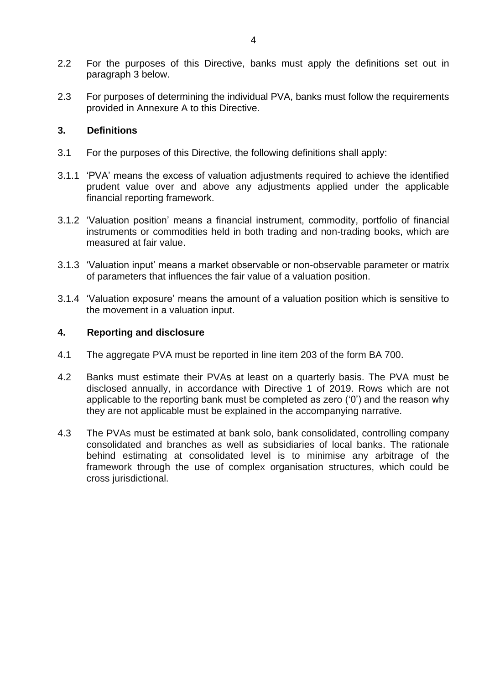- 2.2 For the purposes of this Directive, banks must apply the definitions set out in paragraph 3 below.
- 2.3 For purposes of determining the individual PVA, banks must follow the requirements provided in Annexure A to this Directive.

#### **3. Definitions**

- 3.1 For the purposes of this Directive, the following definitions shall apply:
- 3.1.1 'PVA' means the excess of valuation adjustments required to achieve the identified prudent value over and above any adjustments applied under the applicable financial reporting framework.
- 3.1.2 'Valuation position' means a financial instrument, commodity, portfolio of financial instruments or commodities held in both trading and non-trading books, which are measured at fair value.
- 3.1.3 'Valuation input' means a market observable or non-observable parameter or matrix of parameters that influences the fair value of a valuation position.
- 3.1.4 'Valuation exposure' means the amount of a valuation position which is sensitive to the movement in a valuation input.

#### **4. Reporting and disclosure**

- 4.1 The aggregate PVA must be reported in line item 203 of the form BA 700.
- 4.2 Banks must estimate their PVAs at least on a quarterly basis. The PVA must be disclosed annually, in accordance with Directive 1 of 2019. Rows which are not applicable to the reporting bank must be completed as zero ('0') and the reason why they are not applicable must be explained in the accompanying narrative.
- 4.3 The PVAs must be estimated at bank solo, bank consolidated, controlling company consolidated and branches as well as subsidiaries of local banks. The rationale behind estimating at consolidated level is to minimise any arbitrage of the framework through the use of complex organisation structures, which could be cross jurisdictional.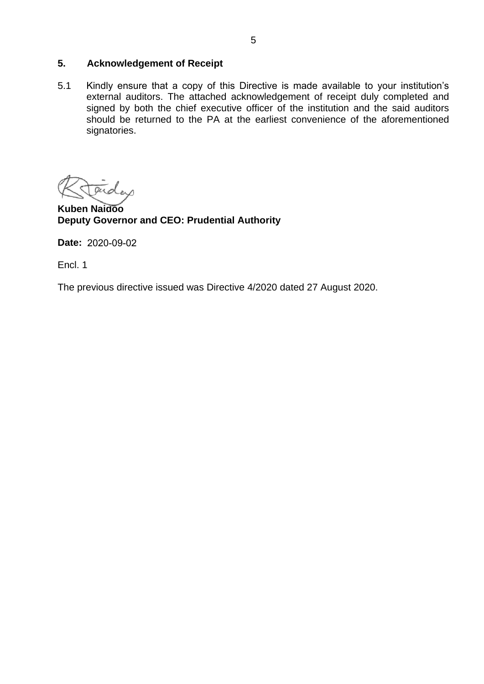#### **5. Acknowledgement of Receipt**

5.1 Kindly ensure that a copy of this Directive is made available to your institution's external auditors. The attached acknowledgement of receipt duly completed and signed by both the chief executive officer of the institution and the said auditors should be returned to the PA at the earliest convenience of the aforementioned signatories.

 $\alpha$ 

**Kuben Naidoo Deputy Governor and CEO: Prudential Authority** 

**Date:**  2020-09-02

Encl. 1

The previous directive issued was Directive 4/2020 dated 27 August 2020.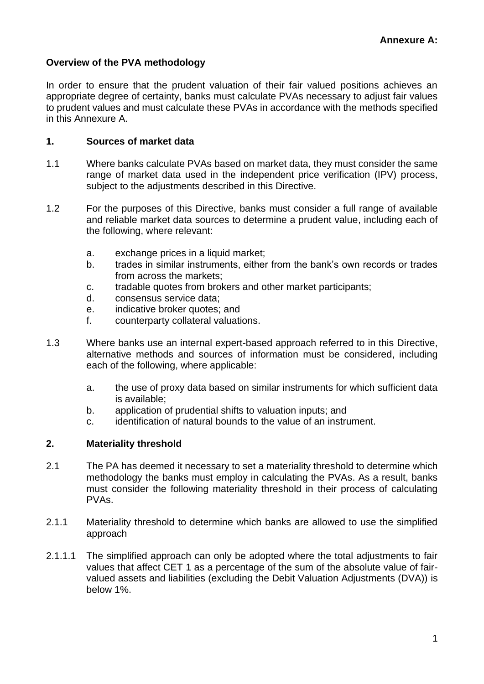# **Overview of the PVA methodology**

In order to ensure that the prudent valuation of their fair valued positions achieves an appropriate degree of certainty, banks must calculate PVAs necessary to adjust fair values to prudent values and must calculate these PVAs in accordance with the methods specified in this Annexure A.

#### **1. Sources of market data**

- 1.1 Where banks calculate PVAs based on market data, they must consider the same range of market data used in the independent price verification (IPV) process, subject to the adjustments described in this Directive.
- 1.2 For the purposes of this Directive, banks must consider a full range of available and reliable market data sources to determine a prudent value, including each of the following, where relevant:
	- a. exchange prices in a liquid market;
	- b. trades in similar instruments, either from the bank's own records or trades from across the markets;
	- c. tradable quotes from brokers and other market participants;
	- d. consensus service data;
	- e. indicative broker quotes; and
	- f. counterparty collateral valuations.
- 1.3 Where banks use an internal expert-based approach referred to in this Directive, alternative methods and sources of information must be considered, including each of the following, where applicable:
	- a. the use of proxy data based on similar instruments for which sufficient data is available;
	- b. application of prudential shifts to valuation inputs; and
	- c. identification of natural bounds to the value of an instrument.

#### **2. Materiality threshold**

- 2.1 The PA has deemed it necessary to set a materiality threshold to determine which methodology the banks must employ in calculating the PVAs. As a result, banks must consider the following materiality threshold in their process of calculating PVAs.
- 2.1.1 Materiality threshold to determine which banks are allowed to use the simplified approach
- 2.1.1.1 The simplified approach can only be adopted where the total adjustments to fair values that affect CET 1 as a percentage of the sum of the absolute value of fairvalued assets and liabilities (excluding the Debit Valuation Adjustments (DVA)) is below 1%.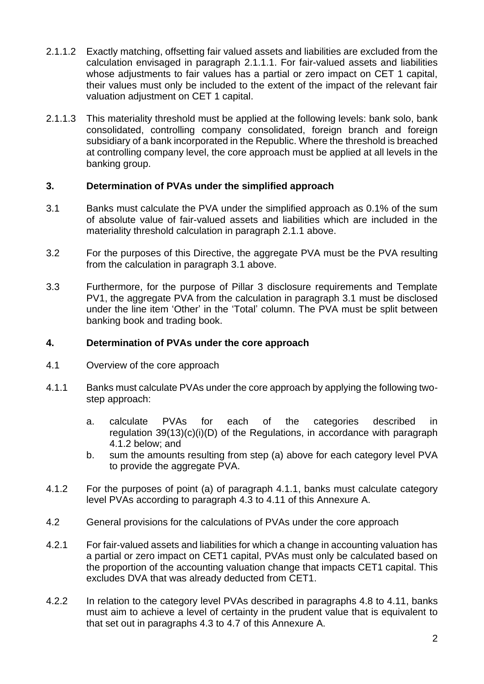- 2.1.1.2 Exactly matching, offsetting fair valued assets and liabilities are excluded from the calculation envisaged in paragraph 2.1.1.1. For fair-valued assets and liabilities whose adjustments to fair values has a partial or zero impact on CET 1 capital, their values must only be included to the extent of the impact of the relevant fair valuation adjustment on CET 1 capital.
- 2.1.1.3 This materiality threshold must be applied at the following levels: bank solo, bank consolidated, controlling company consolidated, foreign branch and foreign subsidiary of a bank incorporated in the Republic. Where the threshold is breached at controlling company level, the core approach must be applied at all levels in the banking group.

# **3. Determination of PVAs under the simplified approach**

- 3.1 Banks must calculate the PVA under the simplified approach as 0.1% of the sum of absolute value of fair-valued assets and liabilities which are included in the materiality threshold calculation in paragraph 2.1.1 above.
- 3.2 For the purposes of this Directive, the aggregate PVA must be the PVA resulting from the calculation in paragraph 3.1 above.
- 3.3 Furthermore, for the purpose of Pillar 3 disclosure requirements and Template PV1, the aggregate PVA from the calculation in paragraph 3.1 must be disclosed under the line item 'Other' in the 'Total' column. The PVA must be split between banking book and trading book.

#### **4. Determination of PVAs under the core approach**

- 4.1 Overview of the core approach
- 4.1.1 Banks must calculate PVAs under the core approach by applying the following twostep approach:
	- a. calculate PVAs for each of the categories described in regulation 39(13)(c)(i)(D) of the Regulations, in accordance with paragraph 4.1.2 below; and
	- b. sum the amounts resulting from step (a) above for each category level PVA to provide the aggregate PVA.
- 4.1.2 For the purposes of point (a) of paragraph 4.1.1, banks must calculate category level PVAs according to paragraph 4.3 to 4.11 of this Annexure A.
- 4.2 General provisions for the calculations of PVAs under the core approach
- 4.2.1 For fair-valued assets and liabilities for which a change in accounting valuation has a partial or zero impact on CET1 capital, PVAs must only be calculated based on the proportion of the accounting valuation change that impacts CET1 capital. This excludes DVA that was already deducted from CET1.
- 4.2.2 In relation to the category level PVAs described in paragraphs 4.8 to 4.11, banks must aim to achieve a level of certainty in the prudent value that is equivalent to that set out in paragraphs 4.3 to 4.7 of this Annexure A.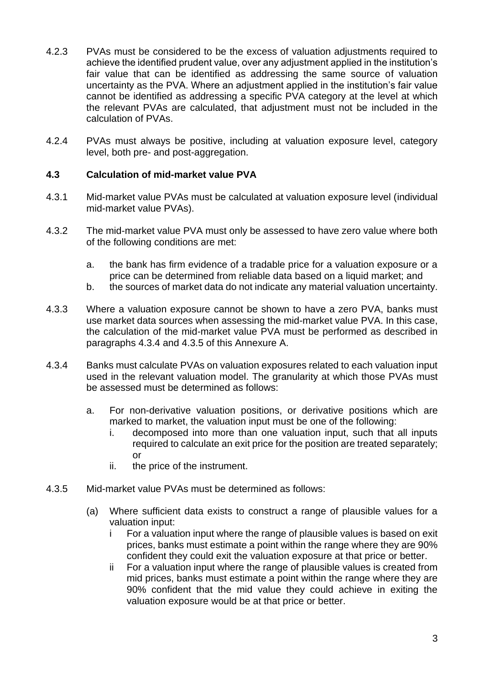- 4.2.3 PVAs must be considered to be the excess of valuation adjustments required to achieve the identified prudent value, over any adjustment applied in the institution's fair value that can be identified as addressing the same source of valuation uncertainty as the PVA. Where an adjustment applied in the institution's fair value cannot be identified as addressing a specific PVA category at the level at which the relevant PVAs are calculated, that adjustment must not be included in the calculation of PVAs.
- 4.2.4 PVAs must always be positive, including at valuation exposure level, category level, both pre- and post-aggregation.

# **4.3 Calculation of mid-market value PVA**

- 4.3.1 Mid-market value PVAs must be calculated at valuation exposure level (individual mid-market value PVAs).
- 4.3.2 The mid-market value PVA must only be assessed to have zero value where both of the following conditions are met:
	- a. the bank has firm evidence of a tradable price for a valuation exposure or a price can be determined from reliable data based on a liquid market; and
	- b. the sources of market data do not indicate any material valuation uncertainty.
- 4.3.3 Where a valuation exposure cannot be shown to have a zero PVA, banks must use market data sources when assessing the mid-market value PVA. In this case, the calculation of the mid-market value PVA must be performed as described in paragraphs 4.3.4 and 4.3.5 of this Annexure A.
- 4.3.4 Banks must calculate PVAs on valuation exposures related to each valuation input used in the relevant valuation model. The granularity at which those PVAs must be assessed must be determined as follows:
	- a. For non-derivative valuation positions, or derivative positions which are marked to market, the valuation input must be one of the following:
		- i. decomposed into more than one valuation input, such that all inputs required to calculate an exit price for the position are treated separately; or
		- ii. the price of the instrument.
- 4.3.5 Mid-market value PVAs must be determined as follows:
	- (a) Where sufficient data exists to construct a range of plausible values for a valuation input:
		- i For a valuation input where the range of plausible values is based on exit prices, banks must estimate a point within the range where they are 90% confident they could exit the valuation exposure at that price or better.
		- ii For a valuation input where the range of plausible values is created from mid prices, banks must estimate a point within the range where they are 90% confident that the mid value they could achieve in exiting the valuation exposure would be at that price or better.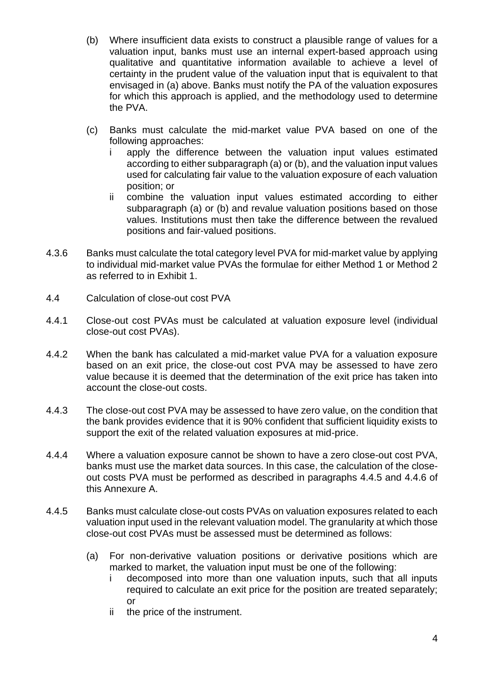- (b) Where insufficient data exists to construct a plausible range of values for a valuation input, banks must use an internal expert-based approach using qualitative and quantitative information available to achieve a level of certainty in the prudent value of the valuation input that is equivalent to that envisaged in (a) above. Banks must notify the PA of the valuation exposures for which this approach is applied, and the methodology used to determine the PVA.
- (c) Banks must calculate the mid-market value PVA based on one of the following approaches:
	- i apply the difference between the valuation input values estimated according to either subparagraph (a) or (b), and the valuation input values used for calculating fair value to the valuation exposure of each valuation position; or
	- ii combine the valuation input values estimated according to either subparagraph (a) or (b) and revalue valuation positions based on those values. Institutions must then take the difference between the revalued positions and fair-valued positions.
- 4.3.6 Banks must calculate the total category level PVA for mid-market value by applying to individual mid-market value PVAs the formulae for either Method 1 or Method 2 as referred to in Exhibit 1.
- 4.4 Calculation of close-out cost PVA
- 4.4.1 Close-out cost PVAs must be calculated at valuation exposure level (individual close-out cost PVAs).
- 4.4.2 When the bank has calculated a mid-market value PVA for a valuation exposure based on an exit price, the close-out cost PVA may be assessed to have zero value because it is deemed that the determination of the exit price has taken into account the close-out costs.
- 4.4.3 The close-out cost PVA may be assessed to have zero value, on the condition that the bank provides evidence that it is 90% confident that sufficient liquidity exists to support the exit of the related valuation exposures at mid-price.
- 4.4.4 Where a valuation exposure cannot be shown to have a zero close-out cost PVA, banks must use the market data sources. In this case, the calculation of the closeout costs PVA must be performed as described in paragraphs 4.4.5 and 4.4.6 of this Annexure A.
- 4.4.5 Banks must calculate close-out costs PVAs on valuation exposures related to each valuation input used in the relevant valuation model. The granularity at which those close-out cost PVAs must be assessed must be determined as follows:
	- (a) For non-derivative valuation positions or derivative positions which are marked to market, the valuation input must be one of the following:
		- i decomposed into more than one valuation inputs, such that all inputs required to calculate an exit price for the position are treated separately; or
		- ii the price of the instrument.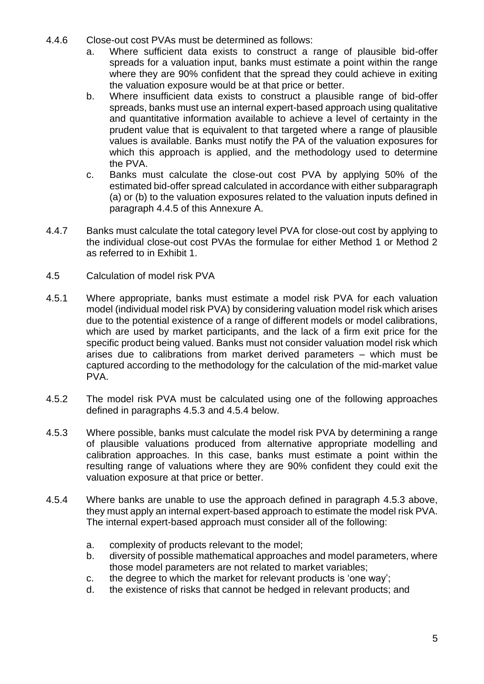- 4.4.6 Close-out cost PVAs must be determined as follows:
	- a. Where sufficient data exists to construct a range of plausible bid-offer spreads for a valuation input, banks must estimate a point within the range where they are 90% confident that the spread they could achieve in exiting the valuation exposure would be at that price or better.
	- b. Where insufficient data exists to construct a plausible range of bid-offer spreads, banks must use an internal expert-based approach using qualitative and quantitative information available to achieve a level of certainty in the prudent value that is equivalent to that targeted where a range of plausible values is available. Banks must notify the PA of the valuation exposures for which this approach is applied, and the methodology used to determine the PVA.
	- c. Banks must calculate the close-out cost PVA by applying 50% of the estimated bid-offer spread calculated in accordance with either subparagraph (a) or (b) to the valuation exposures related to the valuation inputs defined in paragraph 4.4.5 of this Annexure A.
- 4.4.7 Banks must calculate the total category level PVA for close-out cost by applying to the individual close-out cost PVAs the formulae for either Method 1 or Method 2 as referred to in Exhibit 1.
- 4.5 Calculation of model risk PVA
- 4.5.1 Where appropriate, banks must estimate a model risk PVA for each valuation model (individual model risk PVA) by considering valuation model risk which arises due to the potential existence of a range of different models or model calibrations, which are used by market participants, and the lack of a firm exit price for the specific product being valued. Banks must not consider valuation model risk which arises due to calibrations from market derived parameters – which must be captured according to the methodology for the calculation of the mid-market value PVA.
- 4.5.2 The model risk PVA must be calculated using one of the following approaches defined in paragraphs 4.5.3 and 4.5.4 below.
- 4.5.3 Where possible, banks must calculate the model risk PVA by determining a range of plausible valuations produced from alternative appropriate modelling and calibration approaches. In this case, banks must estimate a point within the resulting range of valuations where they are 90% confident they could exit the valuation exposure at that price or better.
- 4.5.4 Where banks are unable to use the approach defined in paragraph 4.5.3 above, they must apply an internal expert-based approach to estimate the model risk PVA. The internal expert-based approach must consider all of the following:
	- a. complexity of products relevant to the model;
	- b. diversity of possible mathematical approaches and model parameters, where those model parameters are not related to market variables;
	- c. the degree to which the market for relevant products is 'one way';
	- d. the existence of risks that cannot be hedged in relevant products; and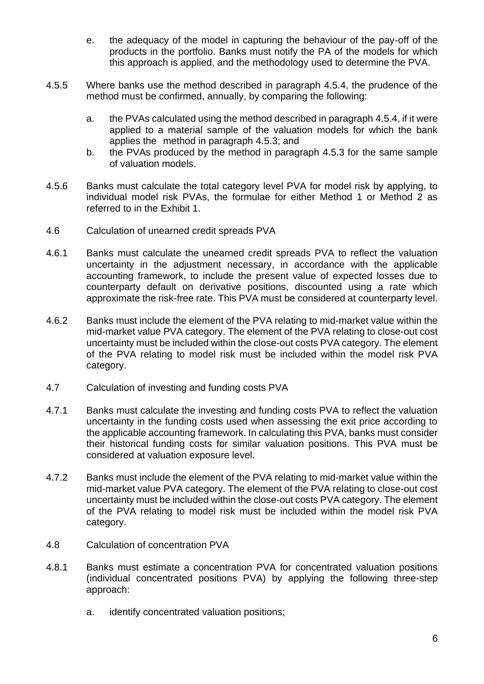- e. the adequacy of the model in capturing the behaviour of the pay-off of the products in the portfolio. Banks must notify the PA of the models for which this approach is applied, and the methodology used to determine the PVA.
- 4.5.5 Where banks use the method described in paragraph 4.5.4, the prudence of the method must be confirmed, annually, by comparing the following:
	- a. the PVAs calculated using the method described in paragraph 4.5.4, if it were applied to a material sample of the valuation models for which the bank applies the method in paragraph 4.5.3; and
	- b. the PVAs produced by the method in paragraph 4.5.3 for the same sample of valuation models.
- 4.5.6 Banks must calculate the total category level PVA for model risk by applying, to individual model risk PVAs, the formulae for either Method 1 or Method 2 as referred to in the Exhibit 1.
- 4.6 Calculation of unearned credit spreads PVA
- 4.6.1 Banks must calculate the unearned credit spreads PVA to reflect the valuation uncertainty in the adjustment necessary, in accordance with the applicable accounting framework, to include the present value of expected losses due to counterparty default on derivative positions, discounted using a rate which approximate the risk-free rate. This PVA must be considered at counterparty level.
- 4.6.2 Banks must include the element of the PVA relating to mid-market value within the mid-market value PVA category. The element of the PVA relating to close-out cost uncertainty must be included within the close-out costs PVA category. The element of the PVA relating to model risk must be included within the model risk PVA category.
- 4.7 Calculation of investing and funding costs PVA
- 4.7.1 Banks must calculate the investing and funding costs PVA to reflect the valuation uncertainty in the funding costs used when assessing the exit price according to the applicable accounting framework. In calculating this PVA, banks must consider their historical funding costs for similar valuation positions. This PVA must be considered at valuation exposure level.
- 4.7.2 Banks must include the element of the PVA relating to mid-market value within the mid-market value PVA category. The element of the PVA relating to close-out cost uncertainty must be included within the close-out costs PVA category. The element of the PVA relating to model risk must be included within the model risk PVA category.
- 4.8 Calculation of concentration PVA
- 4.8.1 Banks must estimate a concentration PVA for concentrated valuation positions (individual concentrated positions PVA) by applying the following three-step approach:
	- a. identify concentrated valuation positions;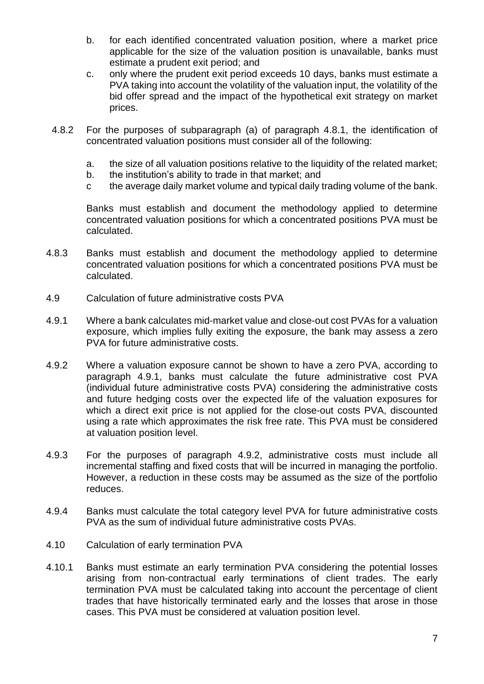- b. for each identified concentrated valuation position, where a market price applicable for the size of the valuation position is unavailable, banks must estimate a prudent exit period; and
- c. only where the prudent exit period exceeds 10 days, banks must estimate a PVA taking into account the volatility of the valuation input, the volatility of the bid offer spread and the impact of the hypothetical exit strategy on market prices.
- 4.8.2 For the purposes of subparagraph (a) of paragraph 4.8.1, the identification of concentrated valuation positions must consider all of the following:
	- a. the size of all valuation positions relative to the liquidity of the related market;
	- b. the institution's ability to trade in that market; and
	- c the average daily market volume and typical daily trading volume of the bank.

Banks must establish and document the methodology applied to determine concentrated valuation positions for which a concentrated positions PVA must be calculated.

- 4.8.3 Banks must establish and document the methodology applied to determine concentrated valuation positions for which a concentrated positions PVA must be calculated.
- 4.9 Calculation of future administrative costs PVA
- 4.9.1 Where a bank calculates mid-market value and close-out cost PVAs for a valuation exposure, which implies fully exiting the exposure, the bank may assess a zero PVA for future administrative costs.
- 4.9.2 Where a valuation exposure cannot be shown to have a zero PVA, according to paragraph 4.9.1, banks must calculate the future administrative cost PVA (individual future administrative costs PVA) considering the administrative costs and future hedging costs over the expected life of the valuation exposures for which a direct exit price is not applied for the close-out costs PVA, discounted using a rate which approximates the risk free rate. This PVA must be considered at valuation position level.
- 4.9.3 For the purposes of paragraph 4.9.2, administrative costs must include all incremental staffing and fixed costs that will be incurred in managing the portfolio. However, a reduction in these costs may be assumed as the size of the portfolio reduces.
- 4.9.4 Banks must calculate the total category level PVA for future administrative costs PVA as the sum of individual future administrative costs PVAs.
- 4.10 Calculation of early termination PVA
- 4.10.1 Banks must estimate an early termination PVA considering the potential losses arising from non-contractual early terminations of client trades. The early termination PVA must be calculated taking into account the percentage of client trades that have historically terminated early and the losses that arose in those cases. This PVA must be considered at valuation position level.